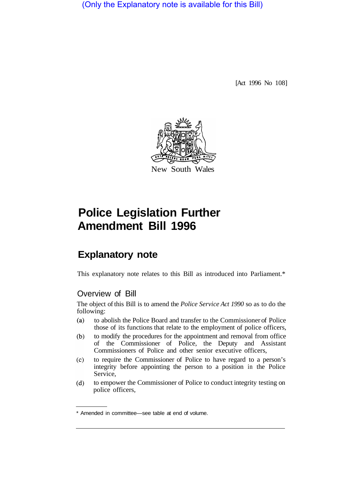(Only the Explanatory note is available for this Bill)

[Act 1996 No 108]



# **Police Legislation Further Amendment Bill 1996**

## **Explanatory note**

This explanatory note relates to this Bill as introduced into Parliament.\*

#### Overview of Bill

The object of this Bill is to amend the *Police Service Act 1990* so as to do the following:

- $(a)$ to abolish the Police Board and transfer to the Commissioner of Police those of its functions that relate to the employment of police officers,
- to modify the procedures for the appointment and removal from office  $(b)$ of the Commissioner of Police, the Deputy and Assistant Commissioners of Police and other senior executive officers,
- to require the Commissioner of Police to have regard to a person's  $(c)$ integrity before appointing the person to a position in the Police Service,
- to empower the Commissioner of Police to conduct integrity testing on  $(d)$ police officers,

<sup>\*</sup> Amended in committee—see table at end of volume.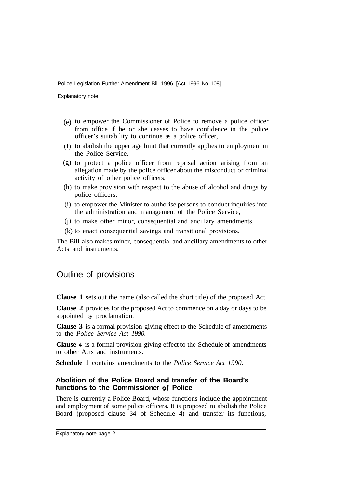Explanatory note

- (e) to empower the Commissioner of Police to remove a police officer from office if he or she ceases to have confidence in the police officer's suitability to continue as a police officer,
- (f) to abolish the upper age limit that currently applies to employment in the Police Service,
- (g) to protect a police officer from reprisal action arising from an allegation made by the police officer about the misconduct or criminal activity of other police officers,
- (h) to make provision with respect to the abuse of alcohol and drugs by police officers,
- (i) to empower the Minister to authorise persons to conduct inquiries into the administration and management of the Police Service,
- (j) to make other minor, consequential and ancillary amendments,
- $(k)$  to enact consequential savings and transitional provisions.

The Bill also makes minor, consequential and ancillary amendments to other Acts and instruments.

### Outline of provisions

**Clause 1** sets out the name (also called the short title) of the proposed Act.

**Clause 2** provides for the proposed Act to commence on a day or days to be appointed by proclamation.

**Clause 3** is a formal provision giving effect to the Schedule of amendments to the *Police Service Act 1990.* 

**Clause 4** is a formal provision giving effect to the Schedule of amendments to other Acts and instruments.

**Schedule 1** contains amendments to the *Police Service Act 1990.* 

#### **Abolition of the Police Board and transfer of the Board's functions to the Commissioner of Police**

There is currently a Police Board, whose functions include the appointment and employment of some police officers. It is proposed to abolish the Police Board (proposed clause 34 of Schedule 4) and transfer its functions,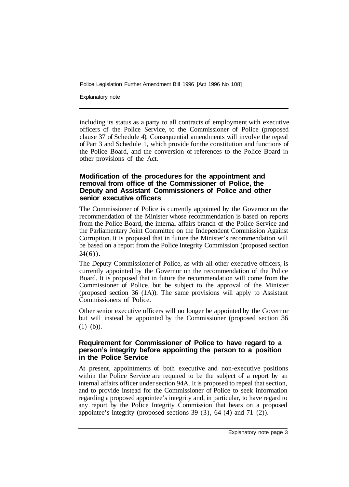Explanatory note

including its status as a party to all contracts of employment with executive officers of the Police Service, to the Commissioner of Police (proposed clause 37 of Schedule 4). Consequential amendments will involve the repeal of Part 3 and Schedule 1, which provide for the constitution and functions of the Police Board, and the conversion of references to the Police Board in other provisions of the Act.

#### **Modification of the procedures for the appointment and removal from office of the Commissioner of Police, the Deputy and Assistant Commissioners of Police and other senior executive officers**

The Commissioner of Police is currently appointed by the Governor on the recommendation of the Minister whose recommendation is based on reports from the Police Board, the internal affairs branch of the Police Service and the Parliamentary Joint Committee on the Independent Commission Against Corruption. It is proposed that in future the Minister's recommendation will be based on a report from the Police Integrity Commission (proposed section  $24(6)$ .

The Deputy Commissioner of Police, as with all other executive officers, is currently appointed by the Governor on the recommendation of the Police Board. It is proposed that in future the recommendation will come from the Commissioner of Police, but be subject to the approval of the Minister (proposed section 36 (1A)). The same provisions will apply to Assistant Commissioners of Police.

Other senior executive officers will no longer be appointed by the Governor but will instead be appointed by the Commissioner (proposed section 36 (1) (b)).

#### **Requirement for Commissioner of Police to have regard to a person's integrity before appointing the person to a position in the Police Service**

At present, appointments of both executive and non-executive positions within the Police Service are required to be the subject of a report by an internal affairs officer under section 94A. It is proposed to repeal that section, and to provide instead for the Commissioner of Police to seek information regarding a proposed appointee's integrity and, in particular, to have regard to any report by the Police Integrity Commission that bears on a proposed appointee's integrity (proposed sections 39 (3), 64 (4) and 71 (2)).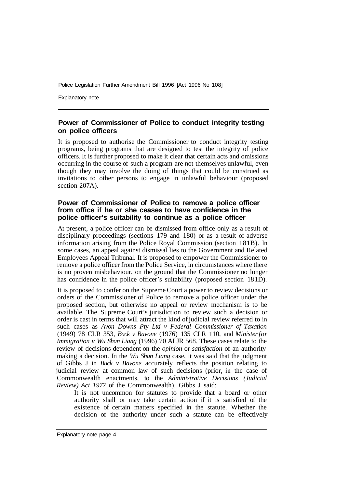Explanatory note

#### **Power of Commissioner of Police to conduct integrity testing on police officers**

It is proposed to authorise the Commissioner to conduct integrity testing programs, being programs that are designed to test the integrity of police officers. It is further proposed to make it clear that certain acts and omissions occurring in the course of such a program are not themselves unlawful, even though they may involve the doing of things that could be construed as invitations to other persons to engage in unlawful behaviour (proposed section 207A).

#### **Power of Commissioner of Police to remove a police officer from office if he or she ceases to have confidence in the police officer's suitability to continue as a police officer**

At present, a police officer can be dismissed from office only as a result of disciplinary proceedings (sections 179 and 180) or as a result of adverse information arising from the Police Royal Commission (section 181B). In some cases, an appeal against dismissal lies to the Government and Related Employees Appeal Tribunal. It is proposed to empower the Commissioner to remove a police officer from the Police Service, in circumstances where there is no proven misbehaviour, on the ground that the Commissioner no longer has confidence in the police officer's suitability (proposed section 18 1D).

It is proposed to confer on the Supreme Court a power to review decisions or orders of the Commissioner of Police to remove a police officer under the proposed section, but otherwise no appeal or review mechanism is to be available. The Supreme Court's jurisdiction to review such a decision or order is cast in terms that will attract the kind of judicial review referred to in such cases as *Avon Downs Pty Ltd v Federal Commissioner of Taxation*  (1949) 78 CLR 353, *Buck v Bavone* (1976) 135 CLR 110, and *Minister for Immigration v Wu Shan Liang* (1996) 70 ALJR 568. These cases relate to the review of decisions dependent on the *opinion* or *satisfaction* of an authority making a decision. In the *Wu Shan Liang* case, it was said that the judgment of Gibbs J in *Buck v Bavone* accurately reflects the position relating to judicial review at common law of such decisions (prior, in the case of Commonwealth enactments, to the *Administrative Decisions (Judicial Review) Act 1977* of the Commonwealth). Gibbs J said:

It is not uncommon for statutes to provide that a board or other authority shall or may take certain action if it is satisfied of the existence of certain matters specified in the statute. Whether the decision of the authority under such a statute can be effectively

Explanatory note page 4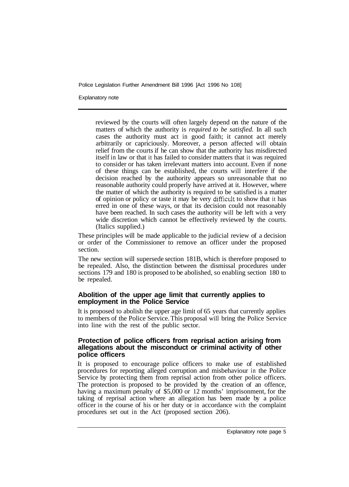Explanatory note

reviewed by the courts will often largely depend on the nature of the matters of which the authority is *required to be satisfied.* In all such cases the authority must act in good faith; it cannot act merely arbitrarily or capriciously. Moreover, a person affected will obtain relief from the courts if he can show that the authority has misdirected itself in law or that it has failed to consider matters that it was required to consider or has taken irrelevant matters into account. Even if none of these things can be established, the courts will interfere if the decision reached by the authority appears so unreasonable that no reasonable authority could properly have arrived at it. However, where the matter of which the authority is required to be satisfied is a matter of opinion or policy or taste it may be very difficult to show that it has erred in one of these ways, or that its decision could not reasonably have been reached. In such cases the authority will be left with a very wide discretion which cannot be effectively reviewed by the courts. (Italics supplied.)

These principles will be made applicable to the judicial review of a decision or order of the Commissioner to remove an officer under the proposed section.

The new section will supersede section 181B, which is therefore proposed to be repealed. Also, the distinction between the dismissal procedures under sections 179 and 180 is proposed to be abolished, so enabling section 180 to be repealed.

#### **Abolition of the upper age limit that currently applies to employment in the Police Service**

It is proposed to abolish the upper age limit of 65 years that currently applies to members of the Police Service. This proposal will bring the Police Service into line with the rest of the public sector.

#### **Protection of police officers from reprisal action arising from allegations about the misconduct or criminal activity of other police officers**

It is proposed to encourage police officers to make use of established procedures for reporting alleged corruption and misbehaviour in the Police Service by protecting them from reprisal action from other police officers. The protection is proposed to be provided by the creation of an offence, having a maximum penalty of \$5,000 or 12 months' imprisonment, for the taking of reprisal action where an allegation has been made by a police officer in the course of his or her duty or in accordance with the complaint procedures set out in the Act (proposed section 206).